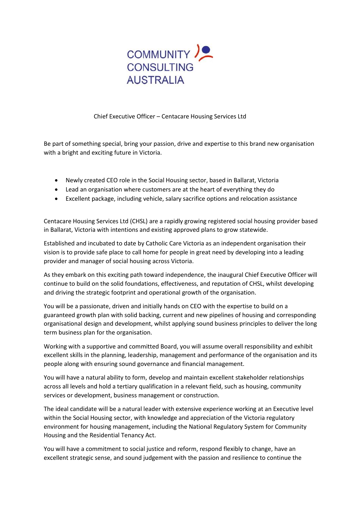

Chief Executive Officer – Centacare Housing Services Ltd

Be part of something special, bring your passion, drive and expertise to this brand new organisation with a bright and exciting future in Victoria.

- Newly created CEO role in the Social Housing sector, based in Ballarat, Victoria
- Lead an organisation where customers are at the heart of everything they do
- Excellent package, including vehicle, salary sacrifice options and relocation assistance

Centacare Housing Services Ltd (CHSL) are a rapidly growing registered social housing provider based in Ballarat, Victoria with intentions and existing approved plans to grow statewide.

Established and incubated to date by Catholic Care Victoria as an independent organisation their vision is to provide safe place to call home for people in great need by developing into a leading provider and manager of social housing across Victoria.

As they embark on this exciting path toward independence, the inaugural Chief Executive Officer will continue to build on the solid foundations, effectiveness, and reputation of CHSL, whilst developing and driving the strategic footprint and operational growth of the organisation.

You will be a passionate, driven and initially hands on CEO with the expertise to build on a guaranteed growth plan with solid backing, current and new pipelines of housing and corresponding organisational design and development, whilst applying sound business principles to deliver the long term business plan for the organisation.

Working with a supportive and committed Board, you will assume overall responsibility and exhibit excellent skills in the planning, leadership, management and performance of the organisation and its people along with ensuring sound governance and financial management.

You will have a natural ability to form, develop and maintain excellent stakeholder relationships across all levels and hold a tertiary qualification in a relevant field, such as housing, community services or development, business management or construction.

The ideal candidate will be a natural leader with extensive experience working at an Executive level within the Social Housing sector, with knowledge and appreciation of the Victoria regulatory environment for housing management, including the National Regulatory System for Community Housing and the Residential Tenancy Act.

You will have a commitment to social justice and reform, respond flexibly to change, have an excellent strategic sense, and sound judgement with the passion and resilience to continue the